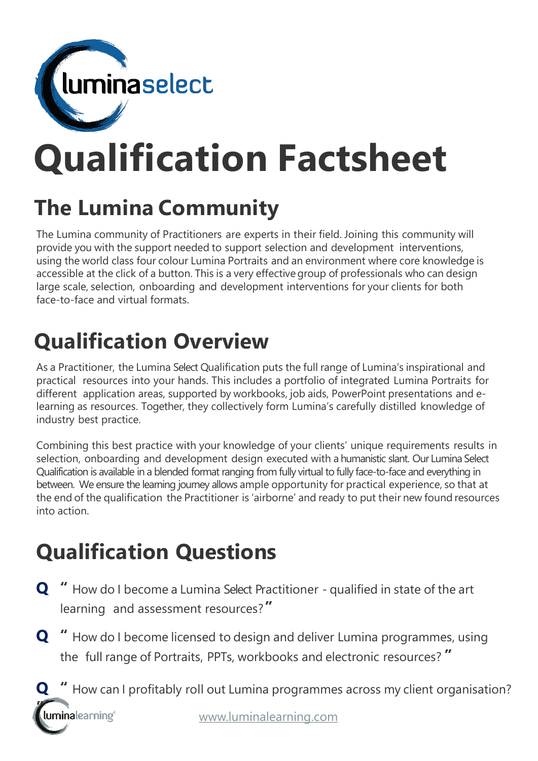

# **Qualification Factsheet**

## **The Lumina Community**

The Lumina community of Practitioners are experts in their field. Joining this community will provide you with the support needed to support selection and development interventions, using the world class four colour Lumina Portraits and an environment where core knowledge is accessible at the click of a button. This is a very effectivegroup of professionals who can design large scale, selection, onboarding and development interventions for your clients for both face-to-face and virtual formats.

## **Qualification Overview**

As a Practitioner, the Lumina Select Qualification puts the full range of Lumina's inspirational and practical resources into your hands. This includes a portfolio of integrated Lumina Portraits for different application areas, supported by workbooks, job aids, PowerPoint presentations and elearning as resources. Together, they collectively form Lumina's carefully distilled knowledge of industry best practice.

Combining this best practice with your knowledge of your clients' unique requirements results in selection, onboarding and development design executed with a humanistic slant. Our Lumina Select Qualification is available in a blended format ranging from fully virtual to fully face-to-face and everything in between. We ensure the learning journey allows ample opportunity for practical experience, so that at the end of the qualification the Practitioner is 'airborne' and ready to put their new found resources into action.

## **Qualification Questions**

- **Q "** How do I become a Lumina Select Practitioner qualified in state of the art learning and assessment resources?**"**
- **Q "** How do I become licensed to design and deliver Lumina programmes, using the full range of Portraits, PPTs, workbooks and electronic resources? **"**
- [www.luminalearning.com](http://www.luminalearning.com/) **Q "** How can I profitably roll out Lumina programmes across my client organisation? **"**